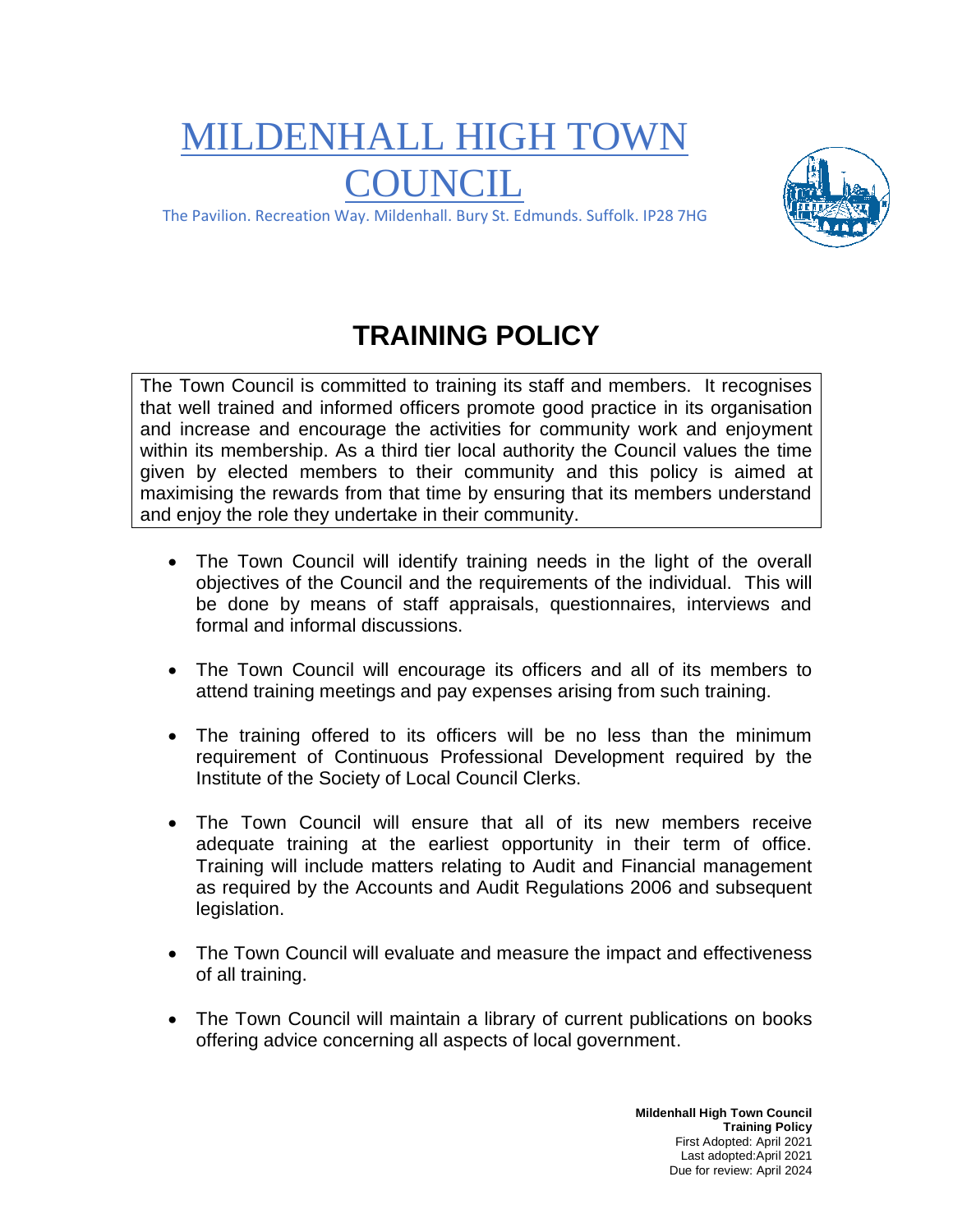## MILDENHALL HIGH TOWN **COUNCIL**



The Pavilion. Recreation Way. Mildenhall. Bury St. Edmunds. Suffolk. IP28 7HG

## **TRAINING POLICY**

The Town Council is committed to training its staff and members. It recognises that well trained and informed officers promote good practice in its organisation and increase and encourage the activities for community work and enjoyment within its membership. As a third tier local authority the Council values the time given by elected members to their community and this policy is aimed at maximising the rewards from that time by ensuring that its members understand and enjoy the role they undertake in their community.

- The Town Council will identify training needs in the light of the overall objectives of the Council and the requirements of the individual. This will be done by means of staff appraisals, questionnaires, interviews and formal and informal discussions.
- The Town Council will encourage its officers and all of its members to attend training meetings and pay expenses arising from such training.
- The training offered to its officers will be no less than the minimum requirement of Continuous Professional Development required by the Institute of the Society of Local Council Clerks.
- The Town Council will ensure that all of its new members receive adequate training at the earliest opportunity in their term of office. Training will include matters relating to Audit and Financial management as required by the Accounts and Audit Regulations 2006 and subsequent legislation.
- The Town Council will evaluate and measure the impact and effectiveness of all training.
- The Town Council will maintain a library of current publications on books offering advice concerning all aspects of local government.